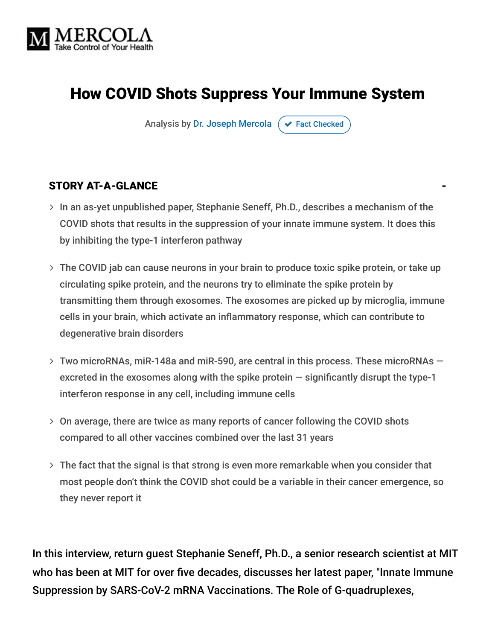

# How COVID Shots Suppress Your Immune System

Analysis by [Dr. Joseph Mercola](https://www.mercola.com/forms/background.htm)  $\sigma$  [Fact Checked](javascript:void(0))

#### STORY AT-A-GLANCE

- $>$  In an as-yet unpublished paper, Stephanie Seneff, Ph.D., describes a mechanism of the COVID shots that results in the suppression of your innate immune system. It does this by inhibiting the type-1 interferon pathway
- The COVID jab can cause neurons in your brain to produce toxic spike protein, or take up circulating spike protein, and the neurons try to eliminate the spike protein by transmitting them through exosomes. The exosomes are picked up by microglia, immune cells in your brain, which activate an inflammatory response, which can contribute to degenerative brain disorders
- Two microRNAs, miR-148a and miR-590, are central in this process. These microRNAs excreted in the exosomes along with the spike protein  $-$  significantly disrupt the type-1 interferon response in any cell, including immune cells
- On average, there are twice as many reports of cancer following the COVID shots compared to all other vaccines combined over the last 31 years
- $>$  The fact that the signal is that strong is even more remarkable when you consider that most people don't think the COVID shot could be a variable in their cancer emergence, so they never report it

In this interview, return guest Stephanie Seneff, Ph.D., a senior research scientist at MIT who has been at MIT for over five decades, discusses her latest paper, "Innate Immune Suppression by SARS-CoV-2 mRNA Vaccinations. The Role of G-quadruplexes,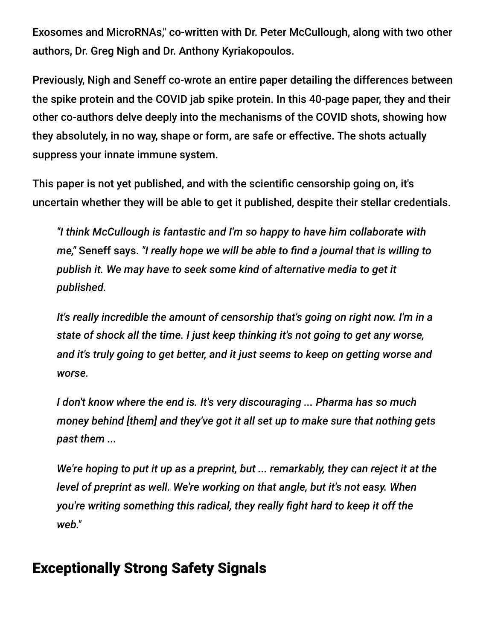Exosomes and MicroRNAs," co-written with Dr. Peter McCullough, along with two other authors, Dr. Greg Nigh and Dr. Anthony Kyriakopoulos.

Previously, Nigh and Seneff co-wrote an entire paper detailing the differences between the spike protein and the COVID jab spike protein. In this 40-page paper, they and their other co-authors delve deeply into the mechanisms of the COVID shots, showing how they absolutely, in no way, shape or form, are safe or effective. The shots actually suppress your innate immune system.

This paper is not yet published, and with the scientific censorship going on, it's uncertain whether they will be able to get it published, despite their stellar credentials.

*"I think McCullough is fantastic and I'm so happy to have him collaborate with me,"* Seneff says. *"I really hope we will be able to find a journal that is willing to publish it. We may have to seek some kind of alternative media to get it published.*

*It's really incredible the amount of censorship that's going on right now. I'm in a state of shock all the time. I just keep thinking it's not going to get any worse, and it's truly going to get better, and it just seems to keep on getting worse and worse.*

*I don't know where the end is. It's very discouraging ... Pharma has so much money behind [them] and they've got it all set up to make sure that nothing gets past them ...*

*We're hoping to put it up as a preprint, but ... remarkably, they can reject it at the level of preprint as well. We're working on that angle, but it's not easy. When you're writing something this radical, they really fight hard to keep it off the web."*

## Exceptionally Strong Safety Signals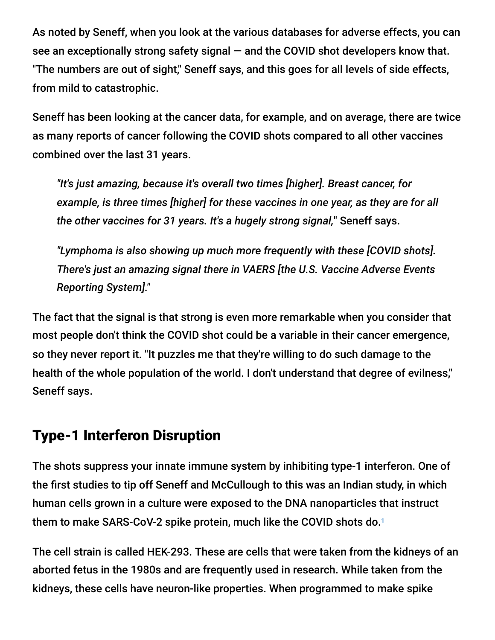As noted by Seneff, when you look at the various databases for adverse effects, you can see an exceptionally strong safety signal — and the COVID shot developers know that. "The numbers are out of sight," Seneff says, and this goes for all levels of side effects, from mild to catastrophic.

Seneff has been looking at the cancer data, for example, and on average, there are twice as many reports of cancer following the COVID shots compared to all other vaccines combined over the last 31 years.

*"It's just amazing, because it's overall two times [higher]. Breast cancer, for example, is three times [higher] for these vaccines in one year, as they are for all the other vaccines for 31 years. It's a hugely strong signal,*" Seneff says.

*"Lymphoma is also showing up much more frequently with these [COVID shots]. There's just an amazing signal there in VAERS [the U.S. Vaccine Adverse Events Reporting System]."*

The fact that the signal is that strong is even more remarkable when you consider that most people don't think the COVID shot could be a variable in their cancer emergence, so they never report it. "It puzzles me that they're willing to do such damage to the health of the whole population of the world. I don't understand that degree of evilness," Seneff says.

# Type-1 Interferon Disruption

The shots suppress your innate immune system by inhibiting type-1 interferon. One of the first studies to tip off Seneff and McCullough to this was an Indian study, in which human cells grown in a culture were exposed to the DNA nanoparticles that instruct them to make SARS-CoV-2 spike protein, much like the COVID shots do. 1

The cell strain is called HEK-293. These are cells that were taken from the kidneys of an aborted fetus in the 1980s and are frequently used in research. While taken from the kidneys, these cells have neuron-like properties. When programmed to make spike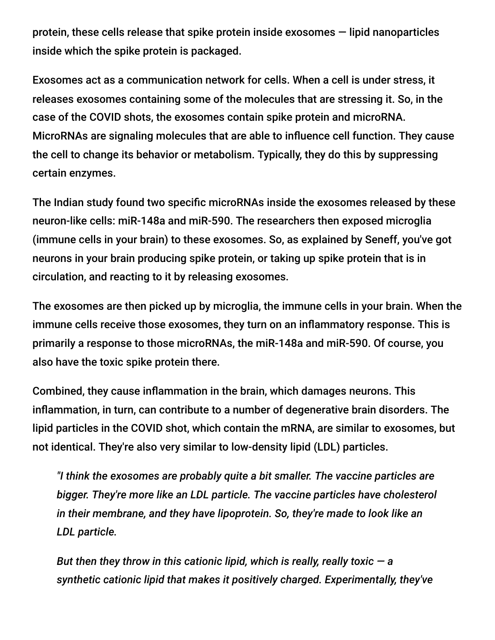protein, these cells release that spike protein inside exosomes — lipid nanoparticles inside which the spike protein is packaged.

Exosomes act as a communication network for cells. When a cell is under stress, it releases exosomes containing some of the molecules that are stressing it. So, in the case of the COVID shots, the exosomes contain spike protein and microRNA. MicroRNAs are signaling molecules that are able to influence cell function. They cause the cell to change its behavior or metabolism. Typically, they do this by suppressing certain enzymes.

The Indian study found two specific microRNAs inside the exosomes released by these neuron-like cells: miR-148a and miR-590. The researchers then exposed microglia (immune cells in your brain) to these exosomes. So, as explained by Seneff, you've got neurons in your brain producing spike protein, or taking up spike protein that is in circulation, and reacting to it by releasing exosomes.

The exosomes are then picked up by microglia, the immune cells in your brain. When the immune cells receive those exosomes, they turn on an inflammatory response. This is primarily a response to those microRNAs, the miR-148a and miR-590. Of course, you also have the toxic spike protein there.

Combined, they cause inflammation in the brain, which damages neurons. This inflammation, in turn, can contribute to a number of degenerative brain disorders. The lipid particles in the COVID shot, which contain the mRNA, are similar to exosomes, but not identical. They're also very similar to low-density lipid (LDL) particles.

*"I think the exosomes are probably quite a bit smaller. The vaccine particles are bigger. They're more like an LDL particle. The vaccine particles have cholesterol in their membrane, and they have lipoprotein. So, they're made to look like an LDL particle.*

*But then they throw in this cationic lipid, which is really, really toxic — a synthetic cationic lipid that makes it positively charged. Experimentally, they've*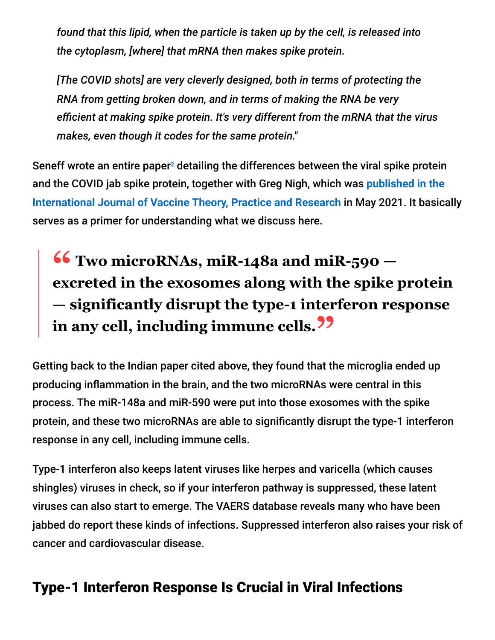*found that this lipid, when the particle is taken up by the cell, is released into the cytoplasm, [where] that mRNA then makes spike protein.*

*[The COVID shots] are very cleverly designed, both in terms of protecting the RNA from getting broken down, and in terms of making the RNA be very efficient at making spike protein. It's very different from the mRNA that the virus makes, even though it codes for the same protein."*

Seneff wrote an entire paper<sup>2</sup> detailing the differences between the viral spike protein [and the COVID jab spike protein, together with Greg Nigh, which was](https://ijvtpr.com/index.php/IJVTPR/article/view/23) **published in the International Journal of Vaccine Theory, Practice and Research** in May 2021. It basically serves as a primer for understanding what we discuss here.

**" Two microRNAs, miR-148a and miR-590 excreted in the exosomes along with the spike protein — significantly disrupt the type-1 interferon response in any cell, including immune cells."**

Getting back to the Indian paper cited above, they found that the microglia ended up producing inflammation in the brain, and the two microRNAs were central in this process. The miR-148a and miR-590 were put into those exosomes with the spike protein, and these two microRNAs are able to significantly disrupt the type-1 interferon response in any cell, including immune cells.

Type-1 interferon also keeps latent viruses like herpes and varicella (which causes shingles) viruses in check, so if your interferon pathway is suppressed, these latent viruses can also start to emerge. The VAERS database reveals many who have been jabbed do report these kinds of infections. Suppressed interferon also raises your risk of cancer and cardiovascular disease.

# Type-1 Interferon Response Is Crucial in Viral Infections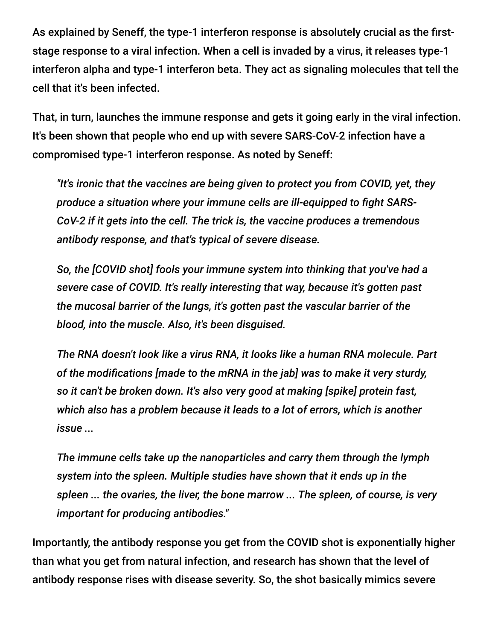As explained by Seneff, the type-1 interferon response is absolutely crucial as the firststage response to a viral infection. When a cell is invaded by a virus, it releases type-1 interferon alpha and type-1 interferon beta. They act as signaling molecules that tell the cell that it's been infected.

That, in turn, launches the immune response and gets it going early in the viral infection. It's been shown that people who end up with severe SARS-CoV-2 infection have a compromised type-1 interferon response. As noted by Seneff:

*"It's ironic that the vaccines are being given to protect you from COVID, yet, they produce a situation where your immune cells are ill-equipped to fight SARS-CoV-2 if it gets into the cell. The trick is, the vaccine produces a tremendous antibody response, and that's typical of severe disease.*

*So, the [COVID shot] fools your immune system into thinking that you've had a severe case of COVID. It's really interesting that way, because it's gotten past the mucosal barrier of the lungs, it's gotten past the vascular barrier of the blood, into the muscle. Also, it's been disguised.*

*The RNA doesn't look like a virus RNA, it looks like a human RNA molecule. Part of the modifications [made to the mRNA in the jab] was to make it very sturdy, so it can't be broken down. It's also very good at making [spike] protein fast, which also has a problem because it leads to a lot of errors, which is another issue ...*

*The immune cells take up the nanoparticles and carry them through the lymph system into the spleen. Multiple studies have shown that it ends up in the spleen ... the ovaries, the liver, the bone marrow ... The spleen, of course, is very important for producing antibodies."*

Importantly, the antibody response you get from the COVID shot is exponentially higher than what you get from natural infection, and research has shown that the level of antibody response rises with disease severity. So, the shot basically mimics severe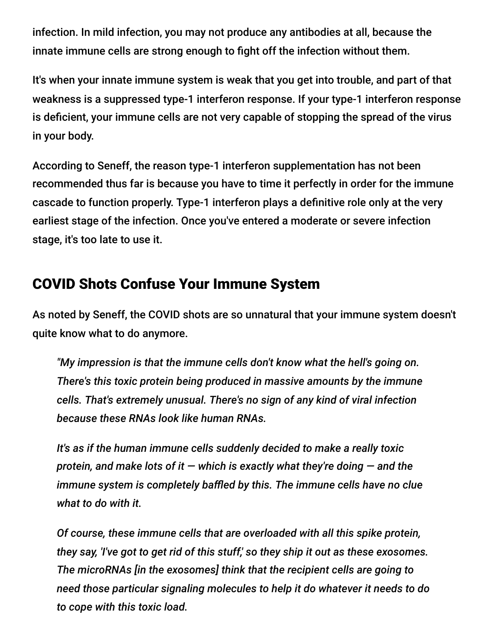infection. In mild infection, you may not produce any antibodies at all, because the innate immune cells are strong enough to fight off the infection without them.

It's when your innate immune system is weak that you get into trouble, and part of that weakness is a suppressed type-1 interferon response. If your type-1 interferon response is deficient, your immune cells are not very capable of stopping the spread of the virus in your body.

According to Seneff, the reason type-1 interferon supplementation has not been recommended thus far is because you have to time it perfectly in order for the immune cascade to function properly. Type-1 interferon plays a definitive role only at the very earliest stage of the infection. Once you've entered a moderate or severe infection stage, it's too late to use it.

## COVID Shots Confuse Your Immune System

As noted by Seneff, the COVID shots are so unnatural that your immune system doesn't quite know what to do anymore.

*"My impression is that the immune cells don't know what the hell's going on. There's this toxic protein being produced in massive amounts by the immune cells. That's extremely unusual. There's no sign of any kind of viral infection because these RNAs look like human RNAs.*

*It's as if the human immune cells suddenly decided to make a really toxic protein, and make lots of it — which is exactly what they're doing — and the immune system is completely baffled by this. The immune cells have no clue what to do with it.*

*Of course, these immune cells that are overloaded with all this spike protein, they say, 'I've got to get rid of this stuff,' so they ship it out as these exosomes. The microRNAs [in the exosomes] think that the recipient cells are going to need those particular signaling molecules to help it do whatever it needs to do to cope with this toxic load.*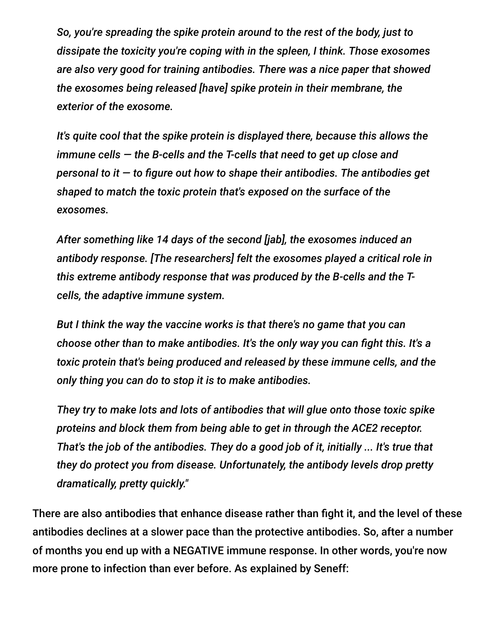*So, you're spreading the spike protein around to the rest of the body, just to dissipate the toxicity you're coping with in the spleen, I think. Those exosomes are also very good for training antibodies. There was a nice paper that showed the exosomes being released [have] spike protein in their membrane, the exterior of the exosome.*

*It's quite cool that the spike protein is displayed there, because this allows the immune cells — the B-cells and the T-cells that need to get up close and personal to it — to figure out how to shape their antibodies. The antibodies get shaped to match the toxic protein that's exposed on the surface of the exosomes.*

*After something like 14 days of the second [jab], the exosomes induced an antibody response. [The researchers] felt the exosomes played a critical role in this extreme antibody response that was produced by the B-cells and the Tcells, the adaptive immune system.*

*But I think the way the vaccine works is that there's no game that you can choose other than to make antibodies. It's the only way you can fight this. It's a toxic protein that's being produced and released by these immune cells, and the only thing you can do to stop it is to make antibodies.*

*They try to make lots and lots of antibodies that will glue onto those toxic spike proteins and block them from being able to get in through the ACE2 receptor. That's the job of the antibodies. They do a good job of it, initially ... It's true that they do protect you from disease. Unfortunately, the antibody levels drop pretty dramatically, pretty quickly."*

There are also antibodies that enhance disease rather than fight it, and the level of these antibodies declines at a slower pace than the protective antibodies. So, after a number of months you end up with a NEGATIVE immune response. In other words, you're now more prone to infection than ever before. As explained by Seneff: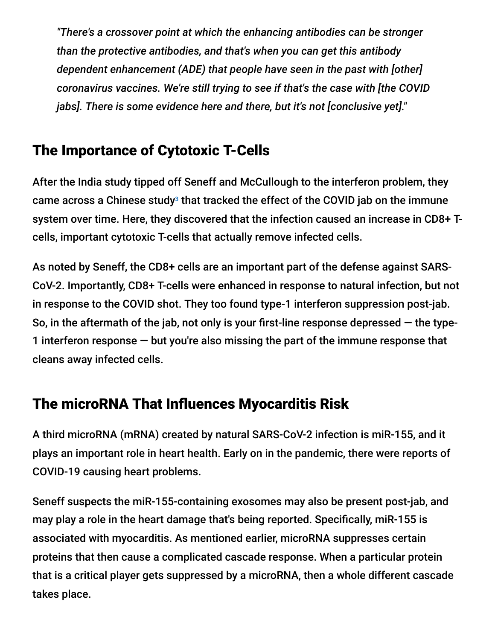*"There's a crossover point at which the enhancing antibodies can be stronger than the protective antibodies, and that's when you can get this antibody dependent enhancement (ADE) that people have seen in the past with [other] coronavirus vaccines. We're still trying to see if that's the case with [the COVID jabs]. There is some evidence here and there, but it's not [conclusive yet]."*

## The Importance of Cytotoxic T-Cells

After the India study tipped off Seneff and McCullough to the interferon problem, they came across a Chinese study $^3$  that tracked the effect of the COVID jab on the immune system over time. Here, they discovered that the infection caused an increase in CD8+ Tcells, important cytotoxic T-cells that actually remove infected cells.

As noted by Seneff, the CD8+ cells are an important part of the defense against SARS-CoV-2. Importantly, CD8+ T-cells were enhanced in response to natural infection, but not in response to the COVID shot. They too found type-1 interferon suppression post-jab. So, in the aftermath of the jab, not only is your first-line response depressed — the type-1 interferon response — but you're also missing the part of the immune response that cleans away infected cells.

## The microRNA That Influences Myocarditis Risk

A third microRNA (mRNA) created by natural SARS-CoV-2 infection is miR-155, and it plays an important role in heart health. Early on in the pandemic, there were reports of COVID-19 causing heart problems.

Seneff suspects the miR-155-containing exosomes may also be present post-jab, and may play a role in the heart damage that's being reported. Specifically, miR-155 is associated with myocarditis. As mentioned earlier, microRNA suppresses certain proteins that then cause a complicated cascade response. When a particular protein that is a critical player gets suppressed by a microRNA, then a whole different cascade takes place.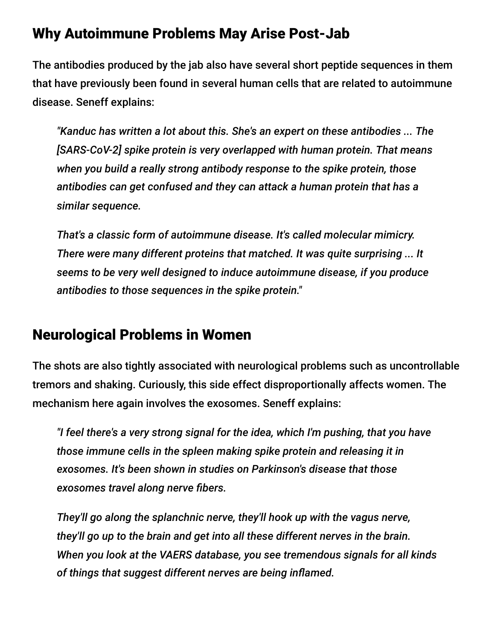### Why Autoimmune Problems May Arise Post-Jab

The antibodies produced by the jab also have several short peptide sequences in them that have previously been found in several human cells that are related to autoimmune disease. Seneff explains:

*"Kanduc has written a lot about this. She's an expert on these antibodies ... The [SARS-CoV-2] spike protein is very overlapped with human protein. That means when you build a really strong antibody response to the spike protein, those antibodies can get confused and they can attack a human protein that has a similar sequence.*

*That's a classic form of autoimmune disease. It's called molecular mimicry. There were many different proteins that matched. It was quite surprising ... It seems to be very well designed to induce autoimmune disease, if you produce antibodies to those sequences in the spike protein."*

### Neurological Problems in Women

The shots are also tightly associated with neurological problems such as uncontrollable tremors and shaking. Curiously, this side effect disproportionally affects women. The mechanism here again involves the exosomes. Seneff explains:

*"I feel there's a very strong signal for the idea, which I'm pushing, that you have those immune cells in the spleen making spike protein and releasing it in exosomes. It's been shown in studies on Parkinson's disease that those exosomes travel along nerve fibers.*

*They'll go along the splanchnic nerve, they'll hook up with the vagus nerve, they'll go up to the brain and get into all these different nerves in the brain. When you look at the VAERS database, you see tremendous signals for all kinds of things that suggest different nerves are being inflamed.*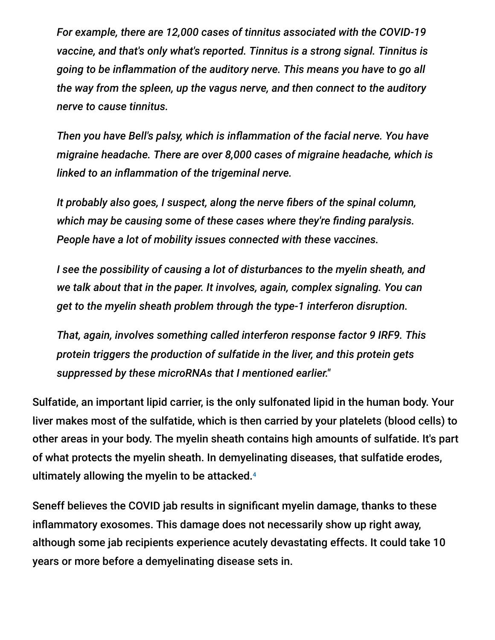*For example, there are 12,000 cases of tinnitus associated with the COVID-19 vaccine, and that's only what's reported. Tinnitus is a strong signal. Tinnitus is going to be inflammation of the auditory nerve. This means you have to go all the way from the spleen, up the vagus nerve, and then connect to the auditory nerve to cause tinnitus.*

*Then you have Bell's palsy, which is inflammation of the facial nerve. You have migraine headache. There are over 8,000 cases of migraine headache, which is linked to an inflammation of the trigeminal nerve.*

*It probably also goes, I suspect, along the nerve fibers of the spinal column, which may be causing some of these cases where they're finding paralysis. People have a lot of mobility issues connected with these vaccines.*

*I see the possibility of causing a lot of disturbances to the myelin sheath, and we talk about that in the paper. It involves, again, complex signaling. You can get to the myelin sheath problem through the type-1 interferon disruption.*

*That, again, involves something called interferon response factor 9 IRF9. This protein triggers the production of sulfatide in the liver, and this protein gets suppressed by these microRNAs that I mentioned earlier."*

Sulfatide, an important lipid carrier, is the only sulfonated lipid in the human body. Your liver makes most of the sulfatide, which is then carried by your platelets (blood cells) to other areas in your body. The myelin sheath contains high amounts of sulfatide. It's part of what protects the myelin sheath. In demyelinating diseases, that sulfatide erodes, ultimately allowing the myelin to be attacked. 4

Seneff believes the COVID jab results in significant myelin damage, thanks to these inflammatory exosomes. This damage does not necessarily show up right away, although some jab recipients experience acutely devastating effects. It could take 10 years or more before a demyelinating disease sets in.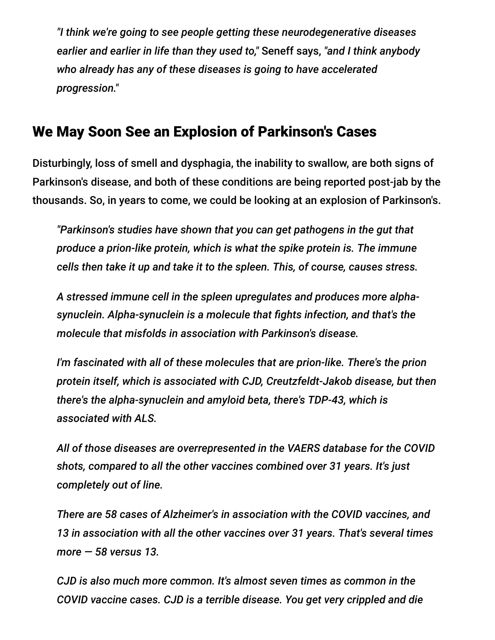*"I think we're going to see people getting these neurodegenerative diseases earlier and earlier in life than they used to,"* Seneff says, *"and I think anybody who already has any of these diseases is going to have accelerated progression."*

### We May Soon See an Explosion of Parkinson's Cases

Disturbingly, loss of smell and dysphagia, the inability to swallow, are both signs of Parkinson's disease, and both of these conditions are being reported post-jab by the thousands. So, in years to come, we could be looking at an explosion of Parkinson's.

*"Parkinson's studies have shown that you can get pathogens in the gut that produce a prion-like protein, which is what the spike protein is. The immune cells then take it up and take it to the spleen. This, of course, causes stress.*

*A stressed immune cell in the spleen upregulates and produces more alphasynuclein. Alpha-synuclein is a molecule that fights infection, and that's the molecule that misfolds in association with Parkinson's disease.*

*I'm fascinated with all of these molecules that are prion-like. There's the prion protein itself, which is associated with CJD, Creutzfeldt-Jakob disease, but then there's the alpha-synuclein and amyloid beta, there's TDP-43, which is associated with ALS.*

*All of those diseases are overrepresented in the VAERS database for the COVID shots, compared to all the other vaccines combined over 31 years. It's just completely out of line.*

*There are 58 cases of Alzheimer's in association with the COVID vaccines, and 13 in association with all the other vaccines over 31 years. That's several times more — 58 versus 13.*

*CJD is also much more common. It's almost seven times as common in the COVID vaccine cases. CJD is a terrible disease. You get very crippled and die*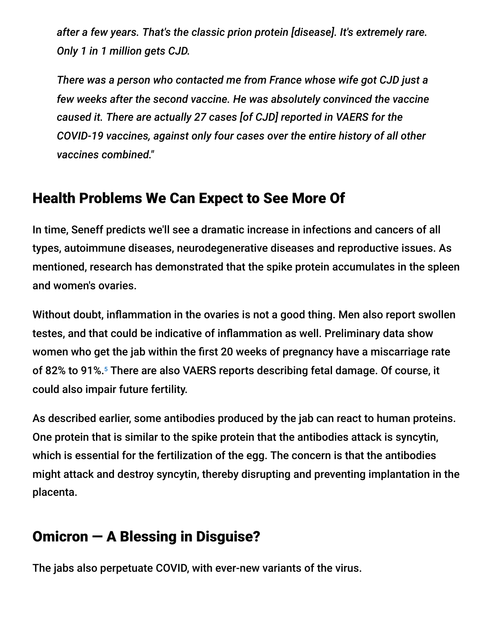*after a few years. That's the classic prion protein [disease]. It's extremely rare. Only 1 in 1 million gets CJD.*

*There was a person who contacted me from France whose wife got CJD just a few weeks after the second vaccine. He was absolutely convinced the vaccine caused it. There are actually 27 cases [of CJD] reported in VAERS for the COVID-19 vaccines, against only four cases over the entire history of all other vaccines combined."*

### Health Problems We Can Expect to See More Of

In time, Seneff predicts we'll see a dramatic increase in infections and cancers of all types, autoimmune diseases, neurodegenerative diseases and reproductive issues. As mentioned, research has demonstrated that the spike protein accumulates in the spleen and women's ovaries.

Without doubt, inflammation in the ovaries is not a good thing. Men also report swollen testes, and that could be indicative of inflammation as well. Preliminary data show women who get the jab within the first 20 weeks of pregnancy have a miscarriage rate of 82% to 91%.<sup>5</sup> There are also VAERS reports describing fetal damage. Of course, it could also impair future fertility.

As described earlier, some antibodies produced by the jab can react to human proteins. One protein that is similar to the spike protein that the antibodies attack is syncytin, which is essential for the fertilization of the egg. The concern is that the antibodies might attack and destroy syncytin, thereby disrupting and preventing implantation in the placenta.

### Omicron — A Blessing in Disguise?

The jabs also perpetuate COVID, with ever-new variants of the virus.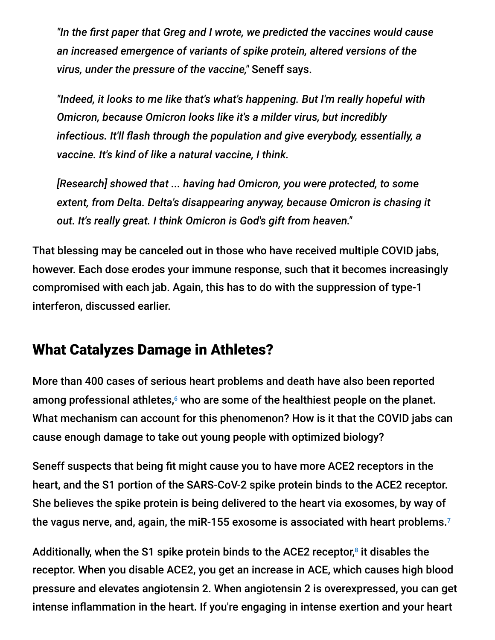*"In the first paper that Greg and I wrote, we predicted the vaccines would cause an increased emergence of variants of spike protein, altered versions of the virus, under the pressure of the vaccine,"* Seneff says.

*"Indeed, it looks to me like that's what's happening. But I'm really hopeful with Omicron, because Omicron looks like it's a milder virus, but incredibly infectious. It'll flash through the population and give everybody, essentially, a vaccine. It's kind of like a natural vaccine, I think.*

*[Research] showed that ... having had Omicron, you were protected, to some extent, from Delta. Delta's disappearing anyway, because Omicron is chasing it out. It's really great. I think Omicron is God's gift from heaven."*

That blessing may be canceled out in those who have received multiple COVID jabs, however. Each dose erodes your immune response, such that it becomes increasingly compromised with each jab. Again, this has to do with the suppression of type-1 interferon, discussed earlier.

### What Catalyzes Damage in Athletes?

More than 400 cases of serious heart problems and death have also been reported among professional athletes, $<sup>6</sup>$  who are some of the healthiest people on the planet.</sup> What mechanism can account for this phenomenon? How is it that the COVID jabs can cause enough damage to take out young people with optimized biology?

Seneff suspects that being fit might cause you to have more ACE2 receptors in the heart, and the S1 portion of the SARS-CoV-2 spike protein binds to the ACE2 receptor. She believes the spike protein is being delivered to the heart via exosomes, by way of the vagus nerve, and, again, the miR-155 exosome is associated with heart problems. 7

Additionally, when the S1 spike protein binds to the ACE2 receptor, $^8$  it disables the receptor. When you disable ACE2, you get an increase in ACE, which causes high blood pressure and elevates angiotensin 2. When angiotensin 2 is overexpressed, you can get intense inflammation in the heart. If you're engaging in intense exertion and your heart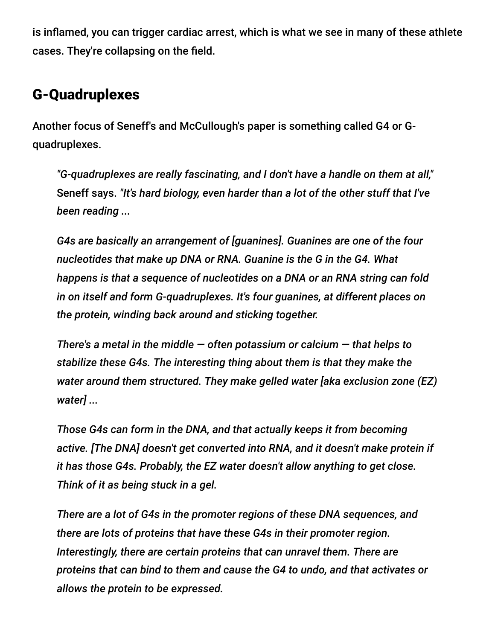is inflamed, you can trigger cardiac arrest, which is what we see in many of these athlete cases. They're collapsing on the field.

### G-Quadruplexes

Another focus of Seneff's and McCullough's paper is something called G4 or Gquadruplexes.

*"G-quadruplexes are really fascinating, and I don't have a handle on them at all,"* Seneff says. *"It's hard biology, even harder than a lot of the other stuff that I've been reading ...*

*G4s are basically an arrangement of [guanines]. Guanines are one of the four nucleotides that make up DNA or RNA. Guanine is the G in the G4. What happens is that a sequence of nucleotides on a DNA or an RNA string can fold in on itself and form G-quadruplexes. It's four guanines, at different places on the protein, winding back around and sticking together.*

*There's a metal in the middle — often potassium or calcium — that helps to stabilize these G4s. The interesting thing about them is that they make the water around them structured. They make gelled water [aka exclusion zone (EZ) water] ...*

*Those G4s can form in the DNA, and that actually keeps it from becoming active. [The DNA] doesn't get converted into RNA, and it doesn't make protein if it has those G4s. Probably, the EZ water doesn't allow anything to get close. Think of it as being stuck in a gel.*

*There are a lot of G4s in the promoter regions of these DNA sequences, and there are lots of proteins that have these G4s in their promoter region. Interestingly, there are certain proteins that can unravel them. There are proteins that can bind to them and cause the G4 to undo, and that activates or allows the protein to be expressed.*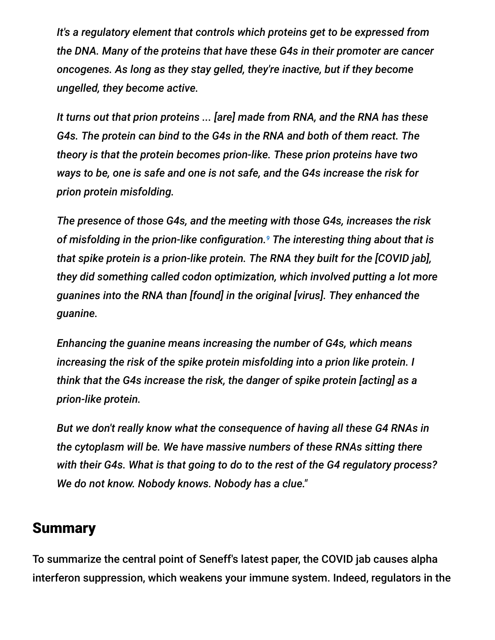*It's a regulatory element that controls which proteins get to be expressed from the DNA. Many of the proteins that have these G4s in their promoter are cancer oncogenes. As long as they stay gelled, they're inactive, but if they become ungelled, they become active.*

*It turns out that prion proteins ... [are] made from RNA, and the RNA has these G4s. The protein can bind to the G4s in the RNA and both of them react. The theory is that the protein becomes prion-like. These prion proteins have two ways to be, one is safe and one is not safe, and the G4s increase the risk for prion protein misfolding.*

*The presence of those G4s, and the meeting with those G4s, increases the risk of misfolding in the prion-like configuration. The interesting thing about that is 9that spike protein is a prion-like protein. The RNA they built for the [COVID jab], they did something called codon optimization, which involved putting a lot more guanines into the RNA than [found] in the original [virus]. They enhanced the guanine.*

*Enhancing the guanine means increasing the number of G4s, which means increasing the risk of the spike protein misfolding into a prion like protein. I think that the G4s increase the risk, the danger of spike protein [acting] as a prion-like protein.*

*But we don't really know what the consequence of having all these G4 RNAs in the cytoplasm will be. We have massive numbers of these RNAs sitting there with their G4s. What is that going to do to the rest of the G4 regulatory process? We do not know. Nobody knows. Nobody has a clue."*

#### **Summary**

To summarize the central point of Seneff's latest paper, the COVID jab causes alpha interferon suppression, which weakens your immune system. Indeed, regulators in the